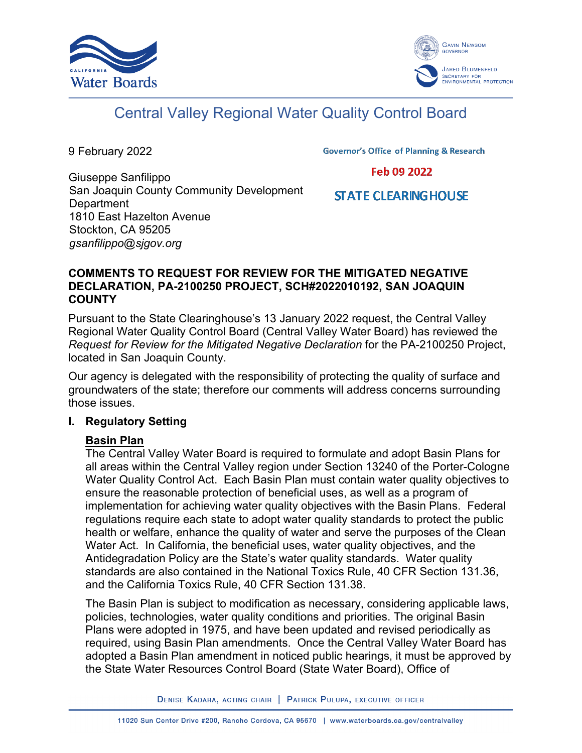



# Central Valley Regional Water Quality Control Board

9 February 2022

**Governor's Office of Planning & Research** 

Feb 09 2022

Giuseppe Sanfilippo San Joaquin County Community Development **Department** 1810 East Hazelton Avenue Stockton, CA 95205 *gsanfilippo@sjgov.org*

**STATE CLEARING HOUSE** 

## **COMMENTS TO REQUEST FOR REVIEW FOR THE MITIGATED NEGATIVE DECLARATION, PA-2100250 PROJECT, SCH#2022010192, SAN JOAQUIN COUNTY**

Pursuant to the State Clearinghouse's 13 January 2022 request, the Central Valley Regional Water Quality Control Board (Central Valley Water Board) has reviewed the *Request for Review for the Mitigated Negative Declaration* for the PA-2100250 Project, located in San Joaquin County.

Our agency is delegated with the responsibility of protecting the quality of surface and groundwaters of the state; therefore our comments will address concerns surrounding those issues.

# **I. Regulatory Setting**

# **Basin Plan**

The Central Valley Water Board is required to formulate and adopt Basin Plans for all areas within the Central Valley region under Section 13240 of the Porter-Cologne Water Quality Control Act. Each Basin Plan must contain water quality objectives to ensure the reasonable protection of beneficial uses, as well as a program of implementation for achieving water quality objectives with the Basin Plans. Federal regulations require each state to adopt water quality standards to protect the public health or welfare, enhance the quality of water and serve the purposes of the Clean Water Act. In California, the beneficial uses, water quality objectives, and the Antidegradation Policy are the State's water quality standards. Water quality standards are also contained in the National Toxics Rule, 40 CFR Section 131.36, and the California Toxics Rule, 40 CFR Section 131.38.

The Basin Plan is subject to modification as necessary, considering applicable laws, policies, technologies, water quality conditions and priorities. The original Basin Plans were adopted in 1975, and have been updated and revised periodically as required, using Basin Plan amendments. Once the Central Valley Water Board has adopted a Basin Plan amendment in noticed public hearings, it must be approved by the State Water Resources Control Board (State Water Board), Office of

DENISE KADARA, ACTING CHAIR | PATRICK PULUPA, EXECUTIVE OFFICER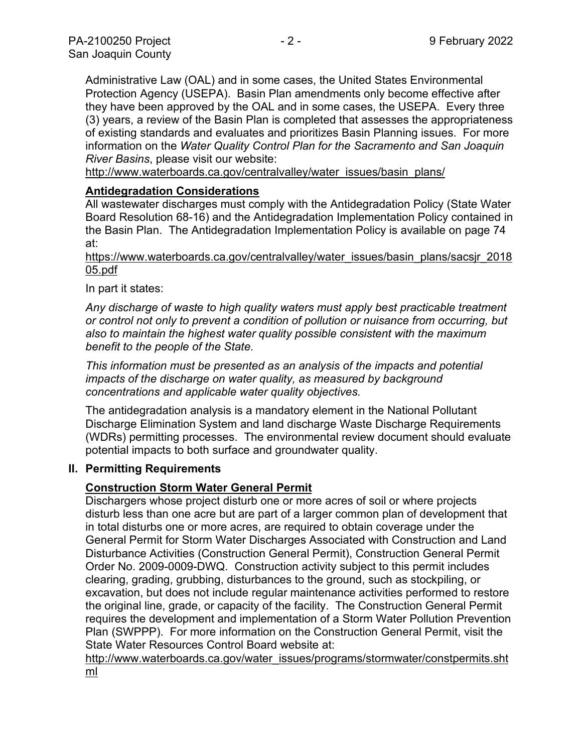Administrative Law (OAL) and in some cases, the United States Environmental Protection Agency (USEPA). Basin Plan amendments only become effective after they have been approved by the OAL and in some cases, the USEPA. Every three (3) years, a review of the Basin Plan is completed that assesses the appropriateness of existing standards and evaluates and prioritizes Basin Planning issues. For more information on the *Water Quality Control Plan for the Sacramento and San Joaquin River Basins*, please visit our website:

[http://www.waterboards.ca.gov/centralvalley/water\\_issues/basin\\_plans/](http://www.waterboards.ca.gov/centralvalley/water_issues/basin_plans/)

## **Antidegradation Considerations**

All wastewater discharges must comply with the Antidegradation Policy (State Water Board Resolution 68-16) and the Antidegradation Implementation Policy contained in the Basin Plan. The Antidegradation Implementation Policy is available on page 74 at:

https://www.waterboards.ca.gov/centralvalley/water\_issues/basin\_plans/sacsjr\_2018 05.pdf

In part it states:

*Any discharge of waste to high quality waters must apply best practicable treatment or control not only to prevent a condition of pollution or nuisance from occurring, but also to maintain the highest water quality possible consistent with the maximum benefit to the people of the State.*

*This information must be presented as an analysis of the impacts and potential impacts of the discharge on water quality, as measured by background concentrations and applicable water quality objectives.*

The antidegradation analysis is a mandatory element in the National Pollutant Discharge Elimination System and land discharge Waste Discharge Requirements (WDRs) permitting processes. The environmental review document should evaluate potential impacts to both surface and groundwater quality.

#### **II. Permitting Requirements**

#### **Construction Storm Water General Permit**

Dischargers whose project disturb one or more acres of soil or where projects disturb less than one acre but are part of a larger common plan of development that in total disturbs one or more acres, are required to obtain coverage under the General Permit for Storm Water Discharges Associated with Construction and Land Disturbance Activities (Construction General Permit), Construction General Permit Order No. 2009-0009-DWQ. Construction activity subject to this permit includes clearing, grading, grubbing, disturbances to the ground, such as stockpiling, or excavation, but does not include regular maintenance activities performed to restore the original line, grade, or capacity of the facility. The Construction General Permit requires the development and implementation of a Storm Water Pollution Prevention Plan (SWPPP). For more information on the Construction General Permit, visit the State Water Resources Control Board website at:

[http://www.waterboards.ca.gov/water\\_issues/programs/stormwater/constpermits.sht](http://www.waterboards.ca.gov/water_issues/programs/stormwater/constpermits.shtml) [ml](http://www.waterboards.ca.gov/water_issues/programs/stormwater/constpermits.shtml)